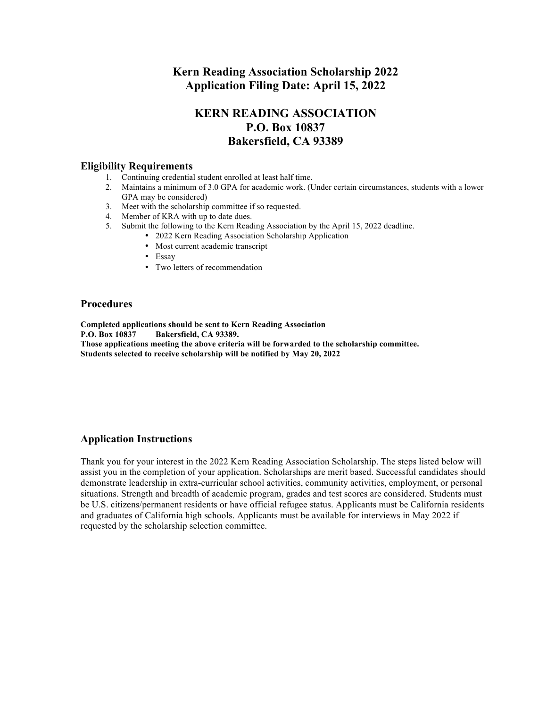## **Kern Reading Association Scholarship 2022 Application Filing Date: April 15, 2022**

## **KERN READING ASSOCIATION P.O. Box 10837 Bakersfield, CA 93389**

#### **Eligibility Requirements**

- 1. Continuing credential student enrolled at least half time.
- 2. Maintains a minimum of 3.0 GPA for academic work. (Under certain circumstances, students with a lower GPA may be considered)
- 3. Meet with the scholarship committee if so requested.
- 4. Member of KRA with up to date dues.
- 5. Submit the following to the Kern Reading Association by the April 15, 2022 deadline.
	- 2022 Kern Reading Association Scholarship Application
	- Most current academic transcript
	- Essay
	- Two letters of recommendation

### **Procedures**

**Completed applications should be sent to Kern Reading Association P.O. Box 10837 Bakersfield, CA 93389. Those applications meeting the above criteria will be forwarded to the scholarship committee. Students selected to receive scholarship will be notified by May 20, 2022**

## **Application Instructions**

Thank you for your interest in the 2022 Kern Reading Association Scholarship. The steps listed below will assist you in the completion of your application. Scholarships are merit based. Successful candidates should demonstrate leadership in extra-curricular school activities, community activities, employment, or personal situations. Strength and breadth of academic program, grades and test scores are considered. Students must be U.S. citizens/permanent residents or have official refugee status. Applicants must be California residents and graduates of California high schools. Applicants must be available for interviews in May 2022 if requested by the scholarship selection committee.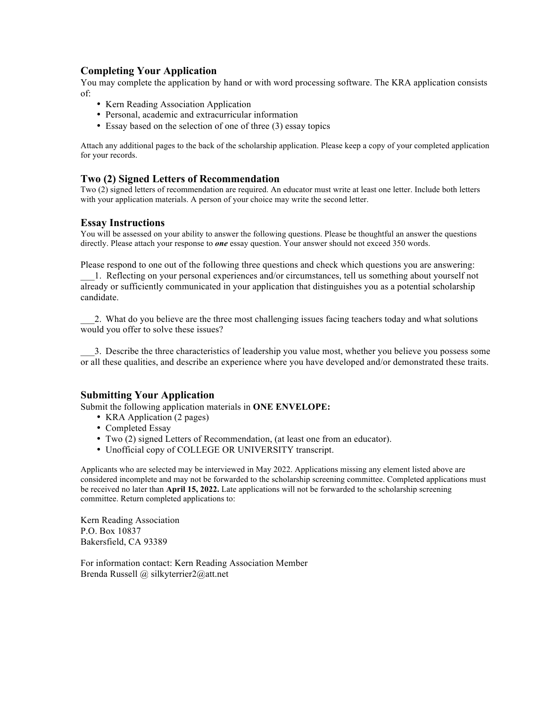## **Completing Your Application**

You may complete the application by hand or with word processing software. The KRA application consists of:

- Kern Reading Association Application
- Personal, academic and extracurricular information
- Essay based on the selection of one of three (3) essay topics

Attach any additional pages to the back of the scholarship application. Please keep a copy of your completed application for your records.

## **Two (2) Signed Letters of Recommendation**

Two (2) signed letters of recommendation are required. An educator must write at least one letter. Include both letters with your application materials. A person of your choice may write the second letter.

#### **Essay Instructions**

You will be assessed on your ability to answer the following questions. Please be thoughtful an answer the questions directly. Please attach your response to *one* essay question. Your answer should not exceed 350 words.

Please respond to one out of the following three questions and check which questions you are answering:

\_\_\_1. Reflecting on your personal experiences and/or circumstances, tell us something about yourself not already or sufficiently communicated in your application that distinguishes you as a potential scholarship candidate.

\_\_\_2. What do you believe are the three most challenging issues facing teachers today and what solutions would you offer to solve these issues?

\_\_\_3. Describe the three characteristics of leadership you value most, whether you believe you possess some or all these qualities, and describe an experience where you have developed and/or demonstrated these traits.

### **Submitting Your Application**

Submit the following application materials in **ONE ENVELOPE:**

- KRA Application (2 pages)
- Completed Essay
- Two (2) signed Letters of Recommendation, (at least one from an educator).
- Unofficial copy of COLLEGE OR UNIVERSITY transcript.

Applicants who are selected may be interviewed in May 2022. Applications missing any element listed above are considered incomplete and may not be forwarded to the scholarship screening committee. Completed applications must be received no later than **April 15, 2022.** Late applications will not be forwarded to the scholarship screening committee. Return completed applications to:

Kern Reading Association P.O. Box 10837 Bakersfield, CA 93389

For information contact: Kern Reading Association Member Brenda Russell @ silkyterrier2@att.net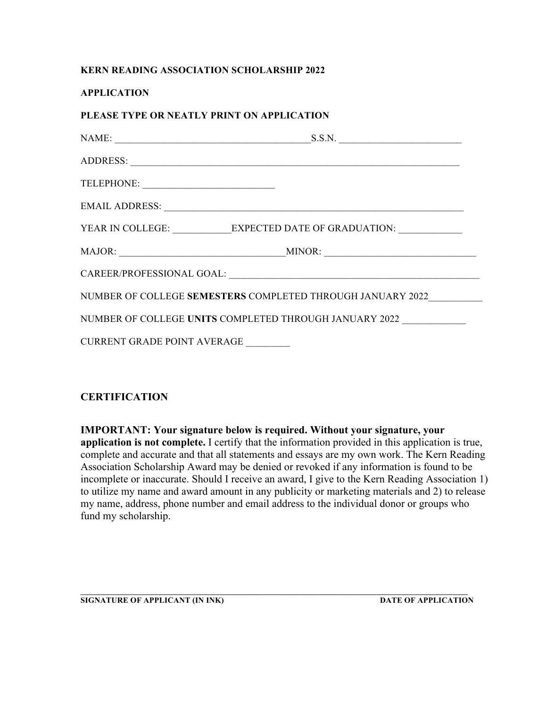## **KERN READING ASSOCIATION SCHOLARSHIP 2022**

## **APPLICATION**

# **PLEASE TYPE OR NEATLY PRINT ON APPLICATION**

| YEAR IN COLLEGE: ____________EXPECTED DATE OF GRADUATION: ______________________ |  |  |  |
|----------------------------------------------------------------------------------|--|--|--|
|                                                                                  |  |  |  |
|                                                                                  |  |  |  |
| NUMBER OF COLLEGE SEMESTERS COMPLETED THROUGH JANUARY 2022                       |  |  |  |
| NUMBER OF COLLEGE UNITS COMPLETED THROUGH JANUARY 2022                           |  |  |  |
| CURRENT GRADE POINT AVERAGE                                                      |  |  |  |

## **CERTIFICATION**

**IMPORTANT: Your signature below is required. Without your signature, your application is not complete.** I certify that the information provided in this application is true, complete and accurate and that all statements and essays are my own work. The Kern Reading Association Scholarship Award may be denied or revoked if any information is found to be incomplete or inaccurate. Should I receive an award, I give to the Kern Reading Association 1) to utilize my name and award amount in any publicity or marketing materials and 2) to release my name, address, phone number and email address to the individual donor or groups who fund my scholarship.

**\_\_\_\_\_\_\_\_\_\_\_\_\_\_\_\_\_\_\_\_\_\_\_\_\_\_\_\_\_\_\_\_\_\_\_\_\_\_\_\_\_\_\_\_\_\_\_\_\_\_\_\_\_\_\_\_\_\_\_\_\_\_\_\_\_\_\_\_\_\_\_\_\_\_\_\_\_\_\_\_\_\_\_\_\_\_\_\_\_\_\_\_\_\_\_\_\_\_\_\_\_\_**

**SIGNATURE OF APPLICANT (IN INK)** DATE OF APPLICATION